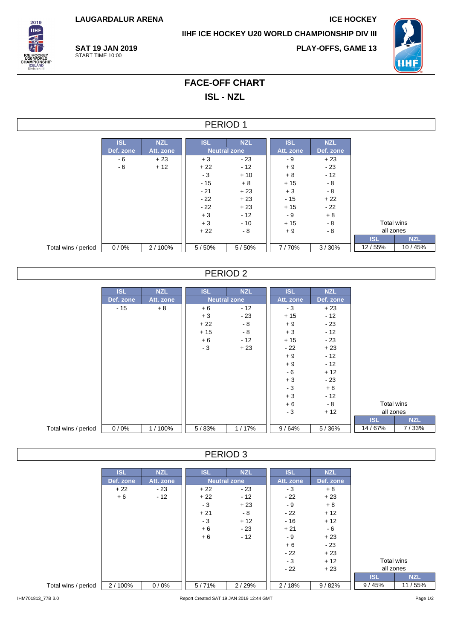**LAUGARDALUR ARENA ICE HOCKEY**

**IIHF ICE HOCKEY U20 WORLD CHAMPIONSHIP DIV III**



**SAT 19 JAN 2019** START TIME 10:00

**PLAY-OFFS, GAME 13**



# **FACE-OFF CHART**

**ISL - NZL**

## PERIOD 1

|                     | <b>ISL</b> | <b>NZL</b> | <b>ISL</b> | <b>NZL</b>          | <b>ISL</b> | <b>NZL</b> |            |        |
|---------------------|------------|------------|------------|---------------------|------------|------------|------------|--------|
|                     | Def. zone  | Att. zone  |            | <b>Neutral zone</b> | Att. zone  | Def. zone  |            |        |
|                     | - 6        | $+23$      | $+3$       | - 23                | - 9        | $+23$      |            |        |
|                     | - 6        | $+12$      | $+22$      | $-12$               | $+9$       | $-23$      |            |        |
|                     |            |            | $-3$       | $+10$               | $+8$       | $-12$      |            |        |
|                     |            |            | $-15$      | $+8$                | $+15$      | - 8        |            |        |
|                     |            |            | $-21$      | $+23$               | $+3$       | $-8$       |            |        |
|                     |            |            | $-22$      | $+23$               | - 15       | $+22$      |            |        |
|                     |            |            | $-22$      | $+23$               | $+15$      | - 22       |            |        |
|                     |            |            | $+3$       | $-12$               | - 9        | $+8$       |            |        |
|                     |            |            | $+3$       | $-10$               | $+15$      | $-8$       | Total wins |        |
|                     |            |            | $+22$      | - 8                 |            | - 8        | all zones  |        |
|                     |            |            |            |                     |            |            | <b>ISL</b> |        |
| Total wins / period | 0/0%       | 2/100%     | 5/50%      | 5/50%               | 7/70%      | 3/30%      | 12/55%     | 10/45% |

# PERIOD 2

|                     | <b>ISL</b> | <b>NZL</b> | <b>ISL</b> | <b>NZL</b>          | <b>ISL</b> | <b>NZL</b> |            |            |
|---------------------|------------|------------|------------|---------------------|------------|------------|------------|------------|
|                     | Def. zone  | Att. zone  |            | <b>Neutral zone</b> | Att. zone  | Def. zone  |            |            |
|                     | $-15$      | $+8$       | $+6$       | $-12$               | $-3$       | $+23$      |            |            |
|                     |            |            | $+3$       | $-23$               | $+15$      | $-12$      |            |            |
|                     |            |            | $+22$      | $-8$                | $+9$       | $-23$      |            |            |
|                     |            |            | $+15$      | $-8$                | $+3$       | $-12$      |            |            |
|                     |            |            | $+6$       | $-12$               | $+15$      | $-23$      |            |            |
|                     |            |            | $-3$       | $+23$               | $-22$      | $+23$      |            |            |
|                     |            |            |            |                     | $+9$       | $-12$      |            |            |
|                     |            |            |            |                     | $+9$       | $-12$      |            |            |
|                     |            |            |            |                     | $-6$       | $+12$      |            |            |
|                     |            |            |            |                     | $+3$       | $-23$      |            |            |
|                     |            |            |            |                     | $-3$       | $+8$       |            |            |
|                     |            |            |            |                     | $+3$       | $-12$      |            |            |
|                     |            |            |            |                     | $+6$       | - 8        | Total wins |            |
|                     |            |            |            |                     | $-3$       | $+12$      | all zones  |            |
|                     |            |            |            |                     |            |            | <b>ISL</b> | <b>NZL</b> |
| Total wins / period | 0/0%       | 1/100%     | 5/83%      | 1/17%               | 9/64%      | 5/36%      | 14/67%     | 7/33%      |

#### PERIOD 3

|                     | <b>ISL</b> | <b>NZL</b> | <b>ISL</b> | <b>NZL</b>          | <b>ISL</b> | <b>NZL</b> |            |            |
|---------------------|------------|------------|------------|---------------------|------------|------------|------------|------------|
|                     | Def. zone  | Att. zone  |            | <b>Neutral zone</b> | Att. zone  | Def. zone  |            |            |
|                     | $+22$      | $-23$      | $+22$      | - 23                | - 3        | $+8$       |            |            |
|                     | $+6$       | $-12$      | $+22$      | - 12                | $-22$      | $+23$      |            |            |
|                     |            |            | $-3$       | $+23$               | - 9        | $+8$       |            |            |
|                     |            |            | $+21$      | - 8                 | $-22$      | $+12$      |            |            |
|                     |            |            | $-3$       | $+12$               | $-16$      | $+12$      |            |            |
|                     |            |            | $+6$       | $-23$               | $+21$      | - 6        |            |            |
|                     |            |            | $+6$       | $-12$               | - 9        | $+23$      |            |            |
|                     |            |            |            |                     | $+6$       | $-23$      |            |            |
|                     |            |            |            |                     | $-22$      | $+23$      |            |            |
|                     |            |            |            |                     | $-3$       | $+12$      | Total wins |            |
|                     |            |            |            |                     | $-22$      | $+23$      | all zones  |            |
|                     |            |            |            |                     |            |            | <b>ISL</b> | <b>NZL</b> |
| Total wins / period | 2/100%     | 0/0%       | 5/71%      | 2/29%               | 2/18%      | 9/82%      | 9/45%      | 11 / 55%   |